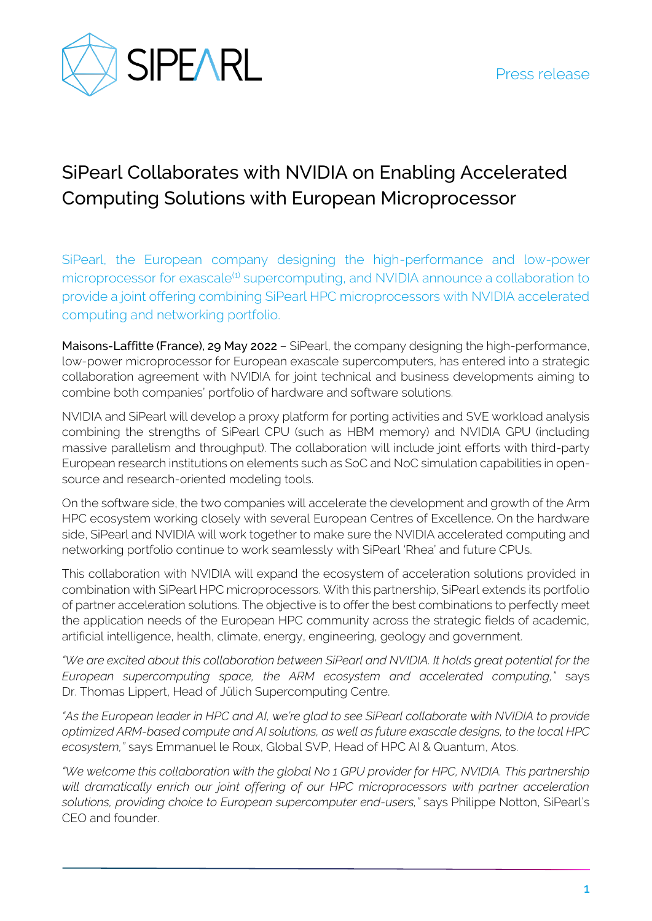

## SiPearl Collaborates with NVIDIA on Enabling Accelerated Computing Solutions with European Microprocessor

SiPearl, the European company designing the high-performance and low-power microprocessor for exascale<sup>(1)</sup> supercomputing, and NVIDIA announce a collaboration to provide a joint offering combining SiPearl HPC microprocessors with NVIDIA accelerated computing and networking portfolio.

Maisons-Laffitte (France), 29 May 2022 – SiPearl, the company designing the high-performance, low-power microprocessor for European exascale supercomputers, has entered into a strategic collaboration agreement with NVIDIA for joint technical and business developments aiming to combine both companies' portfolio of hardware and software solutions.

NVIDIA and SiPearl will develop a proxy platform for porting activities and SVE workload analysis combining the strengths of SiPearl CPU (such as HBM memory) and NVIDIA GPU (including massive parallelism and throughput). The collaboration will include joint efforts with third-party European research institutions on elements such as SoC and NoC simulation capabilities in opensource and research-oriented modeling tools.

On the software side, the two companies will accelerate the development and growth of the Arm HPC ecosystem working closely with several European Centres of Excellence. On the hardware side, SiPearl and NVIDIA will work together to make sure the NVIDIA accelerated computing and networking portfolio continue to work seamlessly with SiPearl 'Rhea' and future CPUs.

This collaboration with NVIDIA will expand the ecosystem of acceleration solutions provided in combination with SiPearl HPC microprocessors. With this partnership, SiPearl extends its portfolio of partner acceleration solutions. The objective is to offer the best combinations to perfectly meet the application needs of the European HPC community across the strategic fields of academic, artificial intelligence, health, climate, energy, engineering, geology and government.

*"We are excited about this collaboration between SiPearl and NVIDIA. It holds great potential for the European supercomputing space, the ARM ecosystem and accelerated computing,"* says Dr. Thomas Lippert, Head of Jülich Supercomputing Centre.

*"As the European leader in HPC and AI, we're glad to see SiPearl collaborate with NVIDIA to provide optimized ARM-based compute and AI solutions, as well as future exascale designs, to the local HPC ecosystem,"* says Emmanuel le Roux, Global SVP, Head of HPC AI & Quantum, Atos.

*"We welcome this collaboration with the global No 1 GPU provider for HPC, NVIDIA. This partnership*  will dramatically enrich our joint offering of our HPC microprocessors with partner acceleration *solutions, providing choice to European supercomputer end-users,"* says Philippe Notton, SiPearl's CEO and founder.